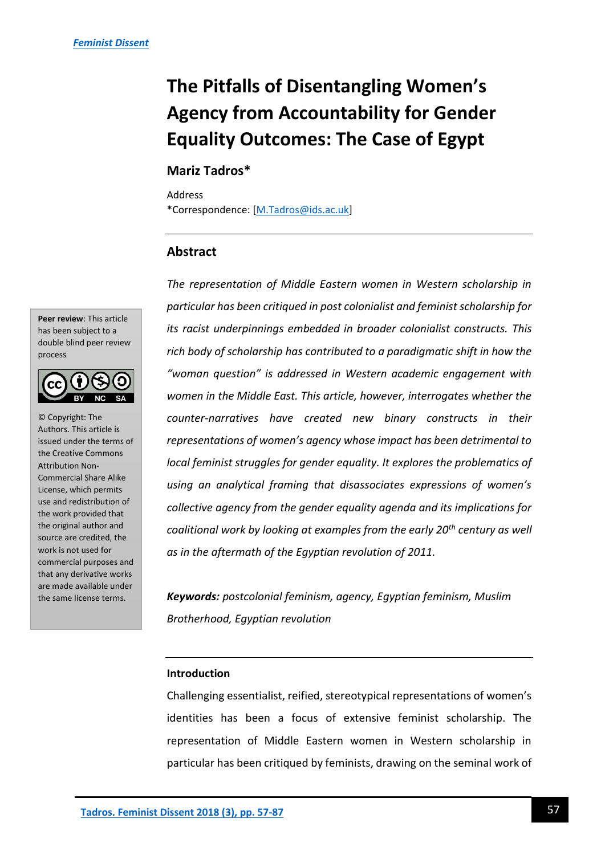# **The Pitfalls of Disentangling Women's Agency from Accountability for Gender Equality Outcomes: The Case of Egypt**

### **Mariz Tadros\***

Address \*Correspondence: [\[M.Tadros@ids.ac.uk\]](mailto:M.Tadros@ids.ac.uk)

### **Abstract**

*The representation of Middle Eastern women in Western scholarship in particular has been critiqued in post colonialist and feminist scholarship for its racist underpinnings embedded in broader colonialist constructs. This rich body of scholarship has contributed to a paradigmatic shift in how the "woman question" is addressed in Western academic engagement with women in the Middle East. This article, however, interrogates whether the counter-narratives have created new binary constructs in their representations of women's agency whose impact has been detrimental to local feminist struggles for gender equality. It explores the problematics of using an analytical framing that disassociates expressions of women's collective agency from the gender equality agenda and its implications for coalitional work by looking at examples from the early 20th century as well as in the aftermath of the Egyptian revolution of 2011.* 

*Keywords: postcolonial feminism, agency, Egyptian feminism, Muslim Brotherhood, Egyptian revolution*

### **Introduction**

Challenging essentialist, reified, stereotypical representations of women's identities has been a focus of extensive feminist scholarship. The representation of Middle Eastern women in Western scholarship in particular has been critiqued by feminists, drawing on the seminal work of

**Peer review**: This article has been subject to a double blind peer review process



© Copyright: The Authors. This article is issued under the terms of the Creative Commons Attribution Non-Commercial Share Alike License, which permits use and redistribution of the work provided that the original author and source are credited, the work is not used for commercial purposes and that any derivative works are made available under the same license terms.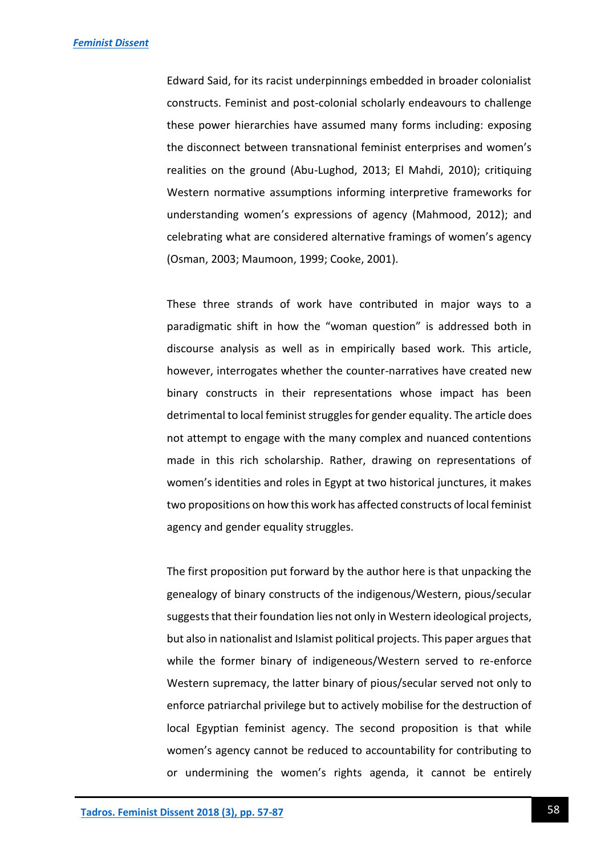Edward Said, for its racist underpinnings embedded in broader colonialist constructs. Feminist and post-colonial scholarly endeavours to challenge these power hierarchies have assumed many forms including: exposing the disconnect between transnational feminist enterprises and women's realities on the ground (Abu-Lughod, 2013; El Mahdi, 2010); critiquing Western normative assumptions informing interpretive frameworks for understanding women's expressions of agency (Mahmood, 2012); and celebrating what are considered alternative framings of women's agency (Osman, 2003; Maumoon, 1999; Cooke, 2001).

These three strands of work have contributed in major ways to a paradigmatic shift in how the "woman question" is addressed both in discourse analysis as well as in empirically based work. This article, however, interrogates whether the counter-narratives have created new binary constructs in their representations whose impact has been detrimental to local feminist struggles for gender equality. The article does not attempt to engage with the many complex and nuanced contentions made in this rich scholarship. Rather, drawing on representations of women's identities and roles in Egypt at two historical junctures, it makes two propositions on how this work has affected constructs of local feminist agency and gender equality struggles.

The first proposition put forward by the author here is that unpacking the genealogy of binary constructs of the indigenous/Western, pious/secular suggests that their foundation lies not only in Western ideological projects, but also in nationalist and Islamist political projects. This paper argues that while the former binary of indigeneous/Western served to re-enforce Western supremacy, the latter binary of pious/secular served not only to enforce patriarchal privilege but to actively mobilise for the destruction of local Egyptian feminist agency. The second proposition is that while women's agency cannot be reduced to accountability for contributing to or undermining the women's rights agenda, it cannot be entirely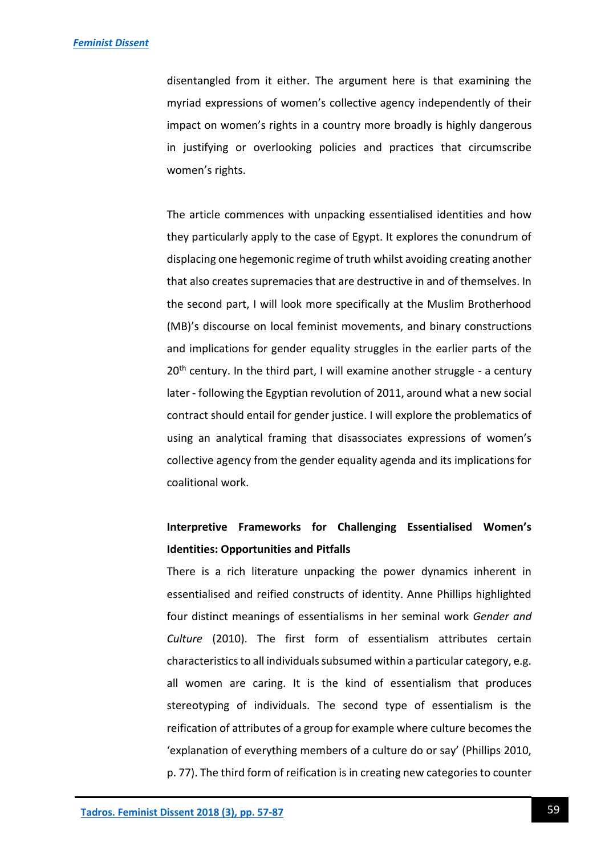disentangled from it either. The argument here is that examining the myriad expressions of women's collective agency independently of their impact on women's rights in a country more broadly is highly dangerous in justifying or overlooking policies and practices that circumscribe women's rights.

The article commences with unpacking essentialised identities and how they particularly apply to the case of Egypt. It explores the conundrum of displacing one hegemonic regime of truth whilst avoiding creating another that also creates supremacies that are destructive in and of themselves. In the second part, I will look more specifically at the Muslim Brotherhood (MB)'s discourse on local feminist movements, and binary constructions and implications for gender equality struggles in the earlier parts of the  $20<sup>th</sup>$  century. In the third part, I will examine another struggle - a century later - following the Egyptian revolution of 2011, around what a new social contract should entail for gender justice. I will explore the problematics of using an analytical framing that disassociates expressions of women's collective agency from the gender equality agenda and its implications for coalitional work.

# **Interpretive Frameworks for Challenging Essentialised Women's Identities: Opportunities and Pitfalls**

There is a rich literature unpacking the power dynamics inherent in essentialised and reified constructs of identity. Anne Phillips highlighted four distinct meanings of essentialisms in her seminal work *Gender and Culture* (2010). The first form of essentialism attributes certain characteristics to all individuals subsumed within a particular category, e.g. all women are caring. It is the kind of essentialism that produces stereotyping of individuals. The second type of essentialism is the reification of attributes of a group for example where culture becomes the 'explanation of everything members of a culture do or say' (Phillips 2010, p. 77). The third form of reification is in creating new categories to counter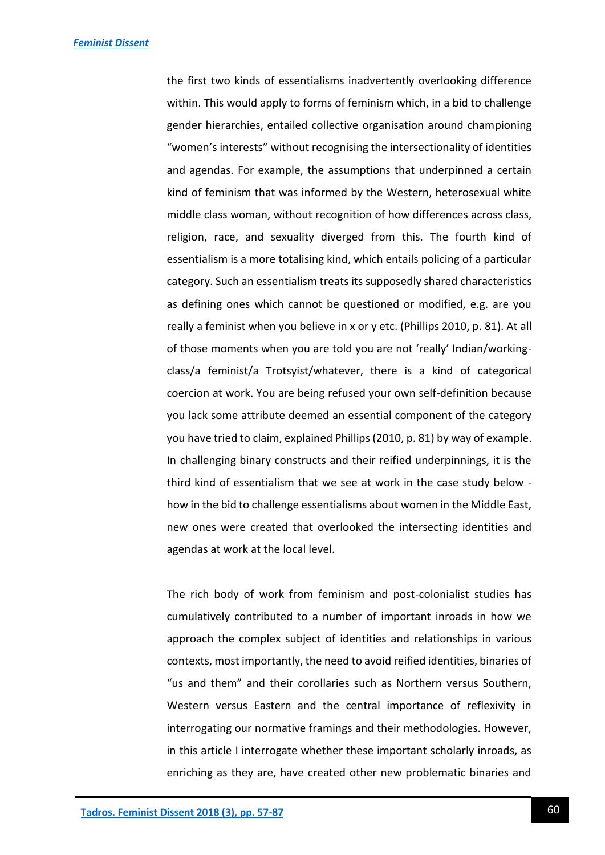the first two kinds of essentialisms inadvertently overlooking difference within. This would apply to forms of feminism which, in a bid to challenge gender hierarchies, entailed collective organisation around championing "women's interests" without recognising the intersectionality of identities and agendas. For example, the assumptions that underpinned a certain kind of feminism that was informed by the Western, heterosexual white middle class woman, without recognition of how differences across class, religion, race, and sexuality diverged from this. The fourth kind of essentialism is a more totalising kind, which entails policing of a particular category. Such an essentialism treats its supposedly shared characteristics as defining ones which cannot be questioned or modified, e.g. are you really a feminist when you believe in x or y etc. (Phillips 2010, p. 81). At all of those moments when you are told you are not 'really' Indian/workingclass/a feminist/a Trotsyist/whatever, there is a kind of categorical coercion at work. You are being refused your own self-definition because you lack some attribute deemed an essential component of the category you have tried to claim, explained Phillips (2010, p. 81) by way of example. In challenging binary constructs and their reified underpinnings, it is the third kind of essentialism that we see at work in the case study below how in the bid to challenge essentialisms about women in the Middle East, new ones were created that overlooked the intersecting identities and agendas at work at the local level.

The rich body of work from feminism and post-colonialist studies has cumulatively contributed to a number of important inroads in how we approach the complex subject of identities and relationships in various contexts, most importantly, the need to avoid reified identities, binaries of "us and them" and their corollaries such as Northern versus Southern, Western versus Eastern and the central importance of reflexivity in interrogating our normative framings and their methodologies. However, in this article I interrogate whether these important scholarly inroads, as enriching as they are, have created other new problematic binaries and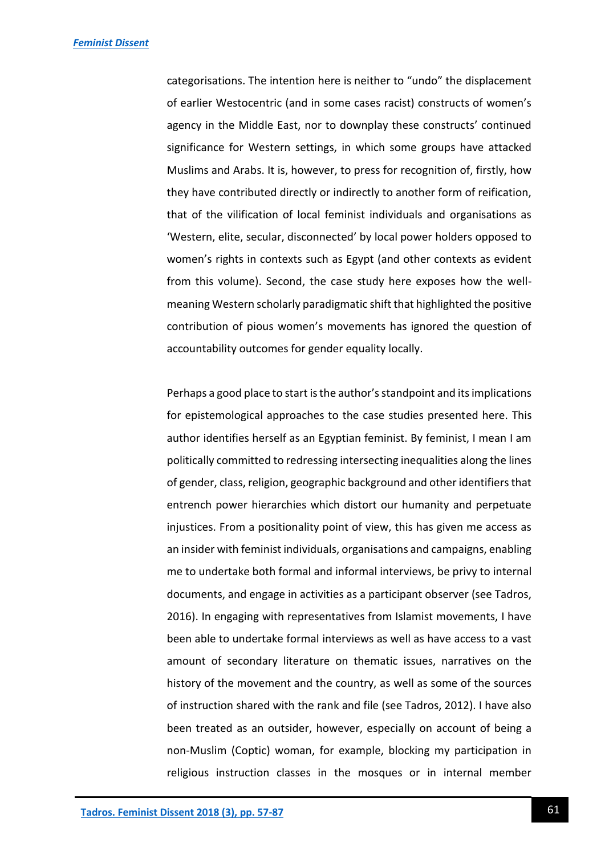categorisations. The intention here is neither to "undo" the displacement of earlier Westocentric (and in some cases racist) constructs of women's agency in the Middle East, nor to downplay these constructs' continued significance for Western settings, in which some groups have attacked Muslims and Arabs. It is, however, to press for recognition of, firstly, how they have contributed directly or indirectly to another form of reification, that of the vilification of local feminist individuals and organisations as 'Western, elite, secular, disconnected' by local power holders opposed to women's rights in contexts such as Egypt (and other contexts as evident from this volume). Second, the case study here exposes how the wellmeaning Western scholarly paradigmatic shift that highlighted the positive contribution of pious women's movements has ignored the question of accountability outcomes for gender equality locally.

Perhaps a good place to start is the author's standpoint and its implications for epistemological approaches to the case studies presented here. This author identifies herself as an Egyptian feminist. By feminist, I mean I am politically committed to redressing intersecting inequalities along the lines of gender, class, religion, geographic background and other identifiers that entrench power hierarchies which distort our humanity and perpetuate injustices. From a positionality point of view, this has given me access as an insider with feminist individuals, organisations and campaigns, enabling me to undertake both formal and informal interviews, be privy to internal documents, and engage in activities as a participant observer (see Tadros, 2016). In engaging with representatives from Islamist movements, I have been able to undertake formal interviews as well as have access to a vast amount of secondary literature on thematic issues, narratives on the history of the movement and the country, as well as some of the sources of instruction shared with the rank and file (see Tadros, 2012). I have also been treated as an outsider, however, especially on account of being a non-Muslim (Coptic) woman, for example, blocking my participation in religious instruction classes in the mosques or in internal member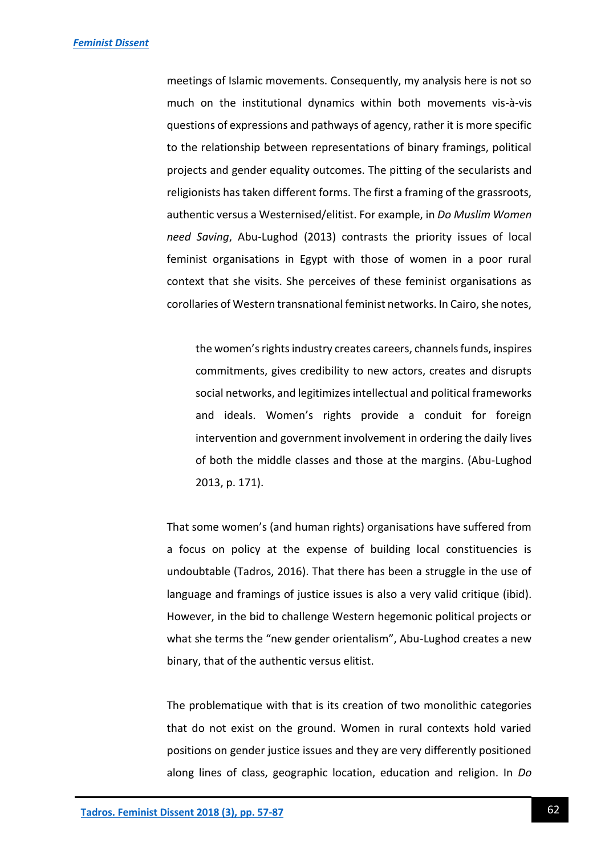meetings of Islamic movements. Consequently, my analysis here is not so much on the institutional dynamics within both movements vis-à-vis questions of expressions and pathways of agency, rather it is more specific to the relationship between representations of binary framings, political projects and gender equality outcomes. The pitting of the secularists and religionists has taken different forms. The first a framing of the grassroots, authentic versus a Westernised/elitist. For example, in *Do Muslim Women need Saving*, Abu-Lughod (2013) contrasts the priority issues of local feminist organisations in Egypt with those of women in a poor rural context that she visits. She perceives of these feminist organisations as corollaries of Western transnational feminist networks. In Cairo, she notes,

the women's rights industry creates careers, channels funds, inspires commitments, gives credibility to new actors, creates and disrupts social networks, and legitimizes intellectual and political frameworks and ideals. Women's rights provide a conduit for foreign intervention and government involvement in ordering the daily lives of both the middle classes and those at the margins. (Abu-Lughod 2013, p. 171).

That some women's (and human rights) organisations have suffered from a focus on policy at the expense of building local constituencies is undoubtable (Tadros, 2016). That there has been a struggle in the use of language and framings of justice issues is also a very valid critique (ibid). However, in the bid to challenge Western hegemonic political projects or what she terms the "new gender orientalism", Abu-Lughod creates a new binary, that of the authentic versus elitist.

The problematique with that is its creation of two monolithic categories that do not exist on the ground. Women in rural contexts hold varied positions on gender justice issues and they are very differently positioned along lines of class, geographic location, education and religion. In *Do*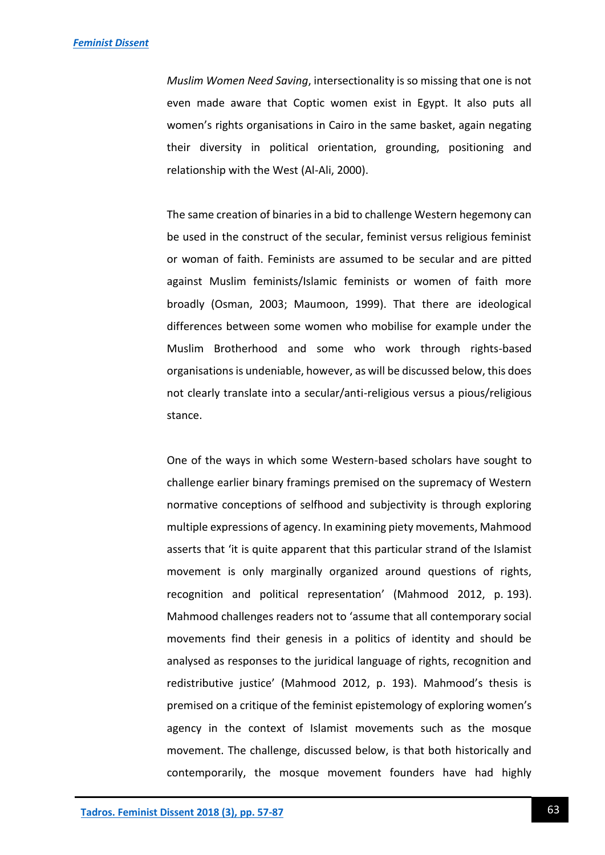*Muslim Women Need Saving*, intersectionality is so missing that one is not even made aware that Coptic women exist in Egypt. It also puts all women's rights organisations in Cairo in the same basket, again negating their diversity in political orientation, grounding, positioning and relationship with the West (Al-Ali, 2000).

The same creation of binaries in a bid to challenge Western hegemony can be used in the construct of the secular, feminist versus religious feminist or woman of faith. Feminists are assumed to be secular and are pitted against Muslim feminists/Islamic feminists or women of faith more broadly (Osman, 2003; Maumoon, 1999). That there are ideological differences between some women who mobilise for example under the Muslim Brotherhood and some who work through rights-based organisations is undeniable, however, as will be discussed below, this does not clearly translate into a secular/anti-religious versus a pious/religious stance.

One of the ways in which some Western-based scholars have sought to challenge earlier binary framings premised on the supremacy of Western normative conceptions of selfhood and subjectivity is through exploring multiple expressions of agency. In examining piety movements, Mahmood asserts that 'it is quite apparent that this particular strand of the Islamist movement is only marginally organized around questions of rights, recognition and political representation' (Mahmood 2012, p. 193). Mahmood challenges readers not to 'assume that all contemporary social movements find their genesis in a politics of identity and should be analysed as responses to the juridical language of rights, recognition and redistributive justice' (Mahmood 2012, p. 193). Mahmood's thesis is premised on a critique of the feminist epistemology of exploring women's agency in the context of Islamist movements such as the mosque movement. The challenge, discussed below, is that both historically and contemporarily, the mosque movement founders have had highly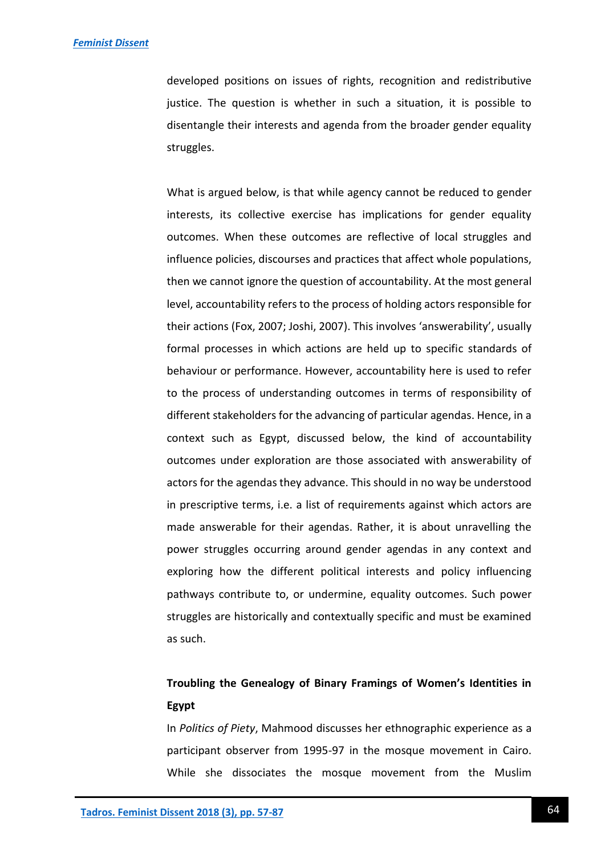developed positions on issues of rights, recognition and redistributive justice. The question is whether in such a situation, it is possible to disentangle their interests and agenda from the broader gender equality struggles.

What is argued below, is that while agency cannot be reduced to gender interests, its collective exercise has implications for gender equality outcomes. When these outcomes are reflective of local struggles and influence policies, discourses and practices that affect whole populations, then we cannot ignore the question of accountability. At the most general level, accountability refers to the process of holding actors responsible for their actions (Fox, 2007; Joshi, 2007). This involves 'answerability', usually formal processes in which actions are held up to specific standards of behaviour or performance. However, accountability here is used to refer to the process of understanding outcomes in terms of responsibility of different stakeholders for the advancing of particular agendas. Hence, in a context such as Egypt, discussed below, the kind of accountability outcomes under exploration are those associated with answerability of actors for the agendas they advance. This should in no way be understood in prescriptive terms, i.e. a list of requirements against which actors are made answerable for their agendas. Rather, it is about unravelling the power struggles occurring around gender agendas in any context and exploring how the different political interests and policy influencing pathways contribute to, or undermine, equality outcomes. Such power struggles are historically and contextually specific and must be examined as such.

# **Troubling the Genealogy of Binary Framings of Women's Identities in Egypt**

In *Politics of Piety*, Mahmood discusses her ethnographic experience as a participant observer from 1995-97 in the mosque movement in Cairo. While she dissociates the mosque movement from the Muslim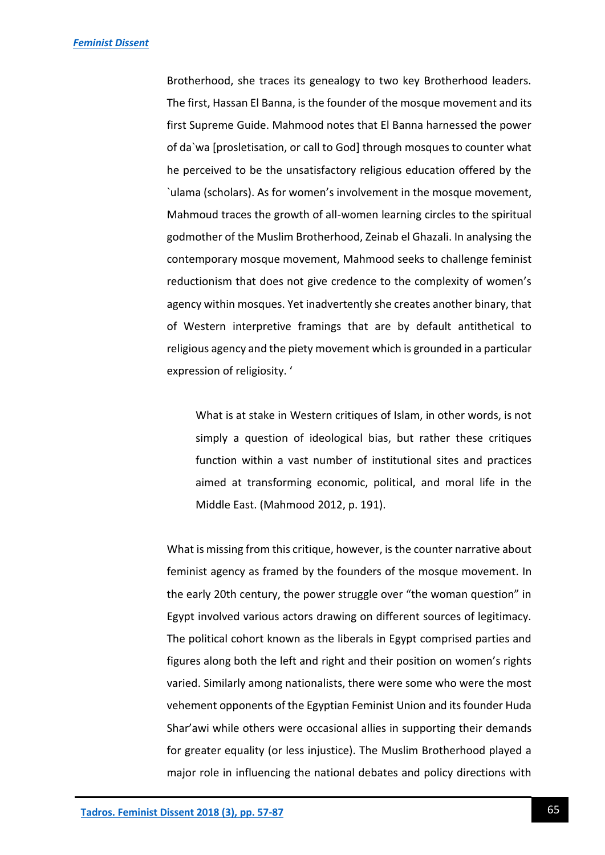Brotherhood, she traces its genealogy to two key Brotherhood leaders. The first, Hassan El Banna, is the founder of the mosque movement and its first Supreme Guide. Mahmood notes that El Banna harnessed the power of da`wa [prosletisation, or call to God] through mosques to counter what he perceived to be the unsatisfactory religious education offered by the `ulama (scholars). As for women's involvement in the mosque movement, Mahmoud traces the growth of all-women learning circles to the spiritual godmother of the Muslim Brotherhood, Zeinab el Ghazali. In analysing the contemporary mosque movement, Mahmood seeks to challenge feminist reductionism that does not give credence to the complexity of women's agency within mosques. Yet inadvertently she creates another binary, that of Western interpretive framings that are by default antithetical to religious agency and the piety movement which is grounded in a particular expression of religiosity. '

What is at stake in Western critiques of Islam, in other words, is not simply a question of ideological bias, but rather these critiques function within a vast number of institutional sites and practices aimed at transforming economic, political, and moral life in the Middle East. (Mahmood 2012, p. 191).

What is missing from this critique, however, is the counter narrative about feminist agency as framed by the founders of the mosque movement. In the early 20th century, the power struggle over "the woman question" in Egypt involved various actors drawing on different sources of legitimacy. The political cohort known as the liberals in Egypt comprised parties and figures along both the left and right and their position on women's rights varied. Similarly among nationalists, there were some who were the most vehement opponents of the Egyptian Feminist Union and its founder Huda Shar'awi while others were occasional allies in supporting their demands for greater equality (or less injustice). The Muslim Brotherhood played a major role in influencing the national debates and policy directions with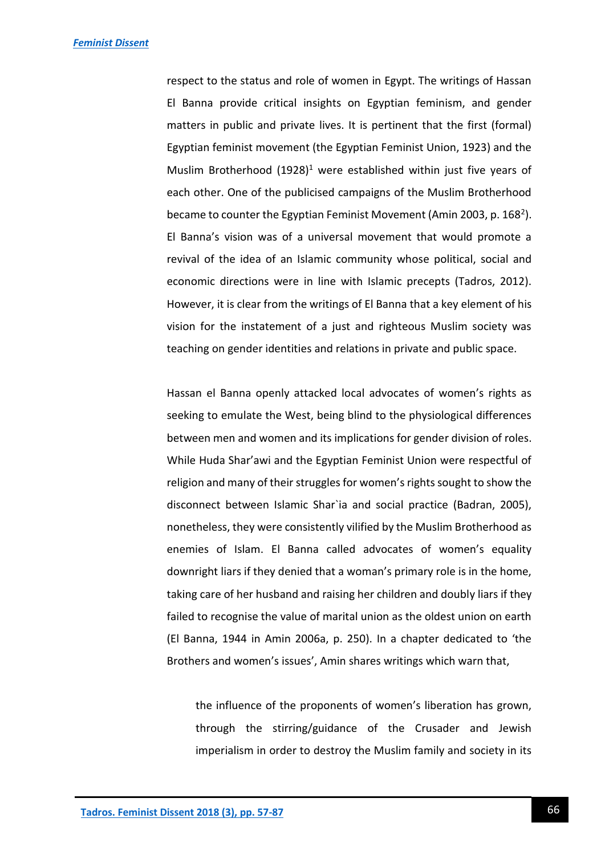respect to the status and role of women in Egypt. The writings of Hassan El Banna provide critical insights on Egyptian feminism, and gender matters in public and private lives. It is pertinent that the first (formal) Egyptian feminist movement (the Egyptian Feminist Union, 1923) and the Muslim Brotherhood  $(1928)^1$  were established within just five years of each other. One of the publicised campaigns of the Muslim Brotherhood became to counter the Egyptian Feminist Movement (Amin 2003, p. 168<sup>2</sup>). El Banna's vision was of a universal movement that would promote a revival of the idea of an Islamic community whose political, social and economic directions were in line with Islamic precepts (Tadros, 2012). However, it is clear from the writings of El Banna that a key element of his vision for the instatement of a just and righteous Muslim society was teaching on gender identities and relations in private and public space.

Hassan el Banna openly attacked local advocates of women's rights as seeking to emulate the West, being blind to the physiological differences between men and women and its implications for gender division of roles. While Huda Shar'awi and the Egyptian Feminist Union were respectful of religion and many of their struggles for women's rights sought to show the disconnect between Islamic Shar`ia and social practice (Badran, 2005), nonetheless, they were consistently vilified by the Muslim Brotherhood as enemies of Islam. El Banna called advocates of women's equality downright liars if they denied that a woman's primary role is in the home, taking care of her husband and raising her children and doubly liars if they failed to recognise the value of marital union as the oldest union on earth (El Banna, 1944 in Amin 2006a, p. 250). In a chapter dedicated to 'the Brothers and women's issues', Amin shares writings which warn that,

the influence of the proponents of women's liberation has grown, through the stirring/guidance of the Crusader and Jewish imperialism in order to destroy the Muslim family and society in its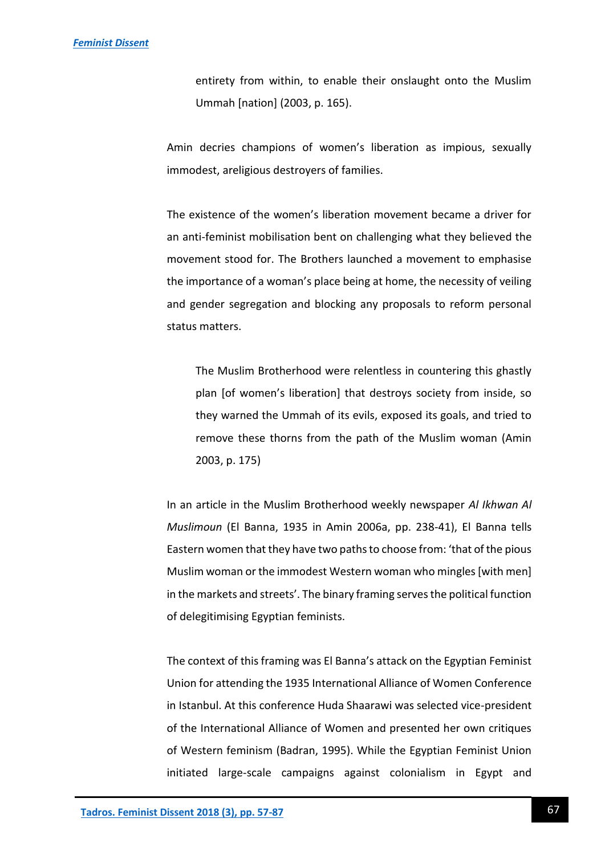entirety from within, to enable their onslaught onto the Muslim Ummah [nation] (2003, p. 165).

Amin decries champions of women's liberation as impious, sexually immodest, areligious destroyers of families.

The existence of the women's liberation movement became a driver for an anti-feminist mobilisation bent on challenging what they believed the movement stood for. The Brothers launched a movement to emphasise the importance of a woman's place being at home, the necessity of veiling and gender segregation and blocking any proposals to reform personal status matters.

The Muslim Brotherhood were relentless in countering this ghastly plan [of women's liberation] that destroys society from inside, so they warned the Ummah of its evils, exposed its goals, and tried to remove these thorns from the path of the Muslim woman (Amin 2003, p. 175)

In an article in the Muslim Brotherhood weekly newspaper *Al Ikhwan Al Muslimoun* (El Banna, 1935 in Amin 2006a, pp. 238-41), El Banna tells Eastern women that they have two paths to choose from: 'that of the pious Muslim woman or the immodest Western woman who mingles [with men] in the markets and streets'. The binary framing serves the political function of delegitimising Egyptian feminists.

The context of this framing was El Banna's attack on the Egyptian Feminist Union for attending the 1935 International Alliance of Women Conference in Istanbul. At this conference Huda Shaarawi was selected vice-president of the International Alliance of Women and presented her own critiques of Western feminism (Badran, 1995). While the Egyptian Feminist Union initiated large-scale campaigns against colonialism in Egypt and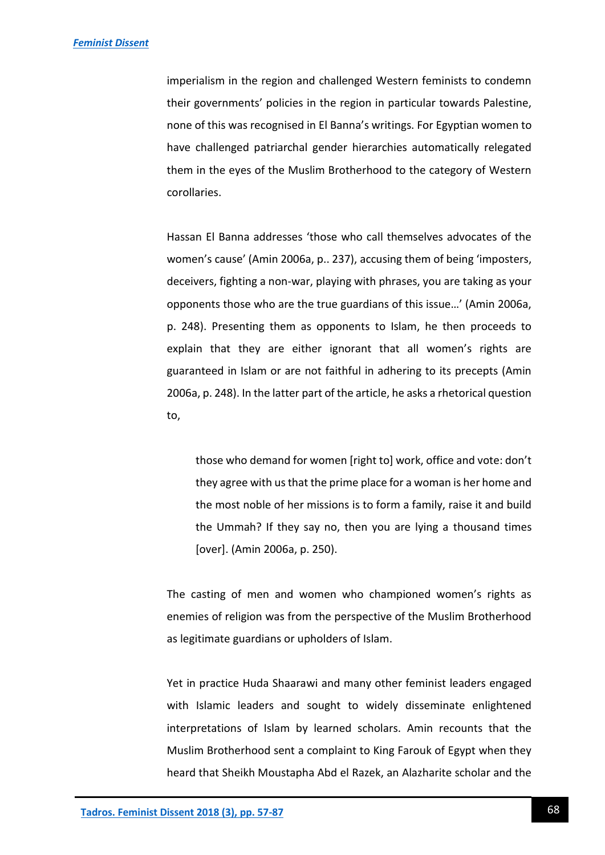imperialism in the region and challenged Western feminists to condemn their governments' policies in the region in particular towards Palestine, none of this was recognised in El Banna's writings. For Egyptian women to have challenged patriarchal gender hierarchies automatically relegated them in the eyes of the Muslim Brotherhood to the category of Western corollaries.

Hassan El Banna addresses 'those who call themselves advocates of the women's cause' (Amin 2006a, p.. 237), accusing them of being 'imposters, deceivers, fighting a non-war, playing with phrases, you are taking as your opponents those who are the true guardians of this issue…' (Amin 2006a, p. 248). Presenting them as opponents to Islam, he then proceeds to explain that they are either ignorant that all women's rights are guaranteed in Islam or are not faithful in adhering to its precepts (Amin 2006a, p. 248). In the latter part of the article, he asks a rhetorical question to,

those who demand for women [right to] work, office and vote: don't they agree with us that the prime place for a woman is her home and the most noble of her missions is to form a family, raise it and build the Ummah? If they say no, then you are lying a thousand times [over]. (Amin 2006a, p. 250).

The casting of men and women who championed women's rights as enemies of religion was from the perspective of the Muslim Brotherhood as legitimate guardians or upholders of Islam.

Yet in practice Huda Shaarawi and many other feminist leaders engaged with Islamic leaders and sought to widely disseminate enlightened interpretations of Islam by learned scholars. Amin recounts that the Muslim Brotherhood sent a complaint to King Farouk of Egypt when they heard that Sheikh Moustapha Abd el Razek, an Alazharite scholar and the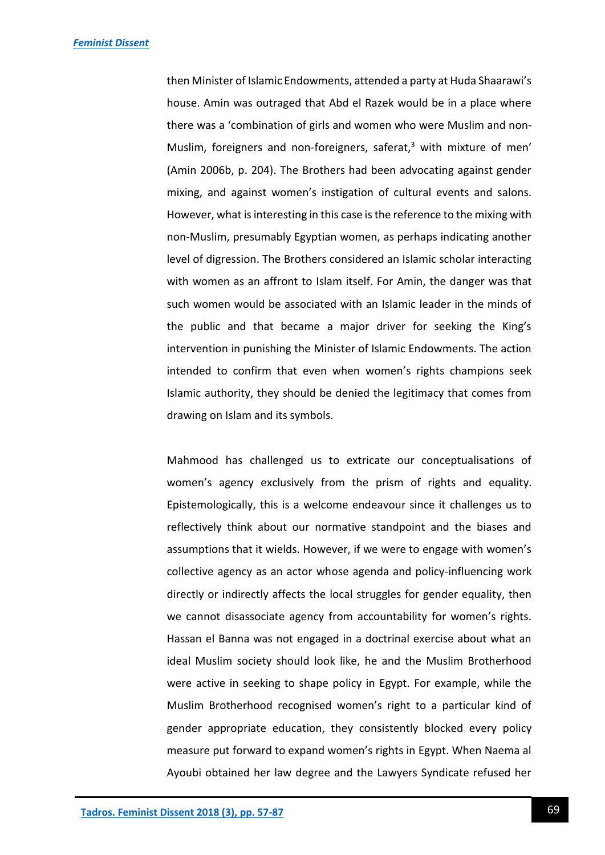then Minister of Islamic Endowments, attended a party at Huda Shaarawi's house. Amin was outraged that Abd el Razek would be in a place where there was a 'combination of girls and women who were Muslim and non-Muslim, foreigners and non-foreigners, saferat, $3$  with mixture of men' (Amin 2006b, p. 204). The Brothers had been advocating against gender mixing, and against women's instigation of cultural events and salons. However, what is interesting in this case is the reference to the mixing with non-Muslim, presumably Egyptian women, as perhaps indicating another level of digression. The Brothers considered an Islamic scholar interacting with women as an affront to Islam itself. For Amin, the danger was that such women would be associated with an Islamic leader in the minds of the public and that became a major driver for seeking the King's intervention in punishing the Minister of Islamic Endowments. The action intended to confirm that even when women's rights champions seek Islamic authority, they should be denied the legitimacy that comes from drawing on Islam and its symbols.

Mahmood has challenged us to extricate our conceptualisations of women's agency exclusively from the prism of rights and equality. Epistemologically, this is a welcome endeavour since it challenges us to reflectively think about our normative standpoint and the biases and assumptions that it wields. However, if we were to engage with women's collective agency as an actor whose agenda and policy-influencing work directly or indirectly affects the local struggles for gender equality, then we cannot disassociate agency from accountability for women's rights. Hassan el Banna was not engaged in a doctrinal exercise about what an ideal Muslim society should look like, he and the Muslim Brotherhood were active in seeking to shape policy in Egypt. For example, while the Muslim Brotherhood recognised women's right to a particular kind of gender appropriate education, they consistently blocked every policy measure put forward to expand women's rights in Egypt. When Naema al Ayoubi obtained her law degree and the Lawyers Syndicate refused her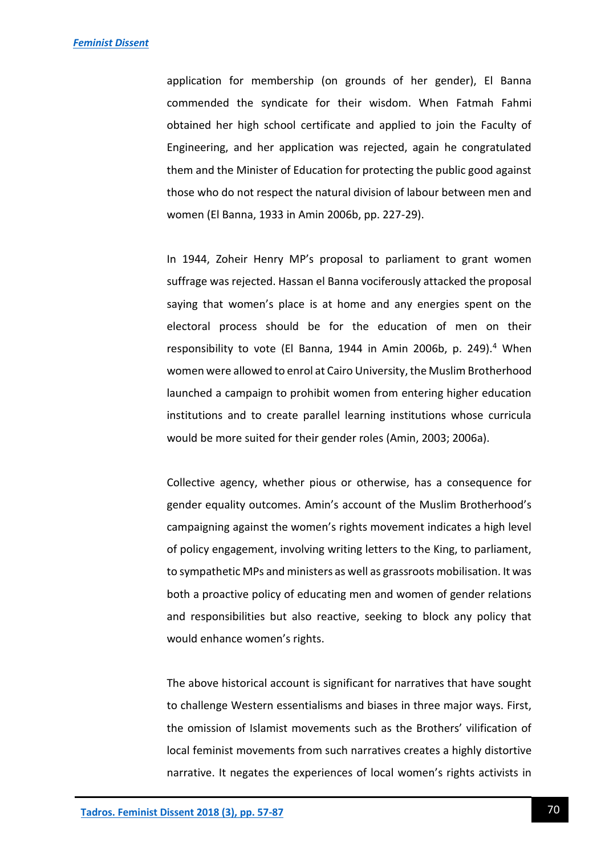application for membership (on grounds of her gender), El Banna commended the syndicate for their wisdom. When Fatmah Fahmi obtained her high school certificate and applied to join the Faculty of Engineering, and her application was rejected, again he congratulated them and the Minister of Education for protecting the public good against those who do not respect the natural division of labour between men and women (El Banna, 1933 in Amin 2006b, pp. 227-29).

In 1944, Zoheir Henry MP's proposal to parliament to grant women suffrage was rejected. Hassan el Banna vociferously attacked the proposal saying that women's place is at home and any energies spent on the electoral process should be for the education of men on their responsibility to vote (El Banna, 1944 in Amin 2006b, p. 249).<sup>4</sup> When women were allowed to enrol at Cairo University, the Muslim Brotherhood launched a campaign to prohibit women from entering higher education institutions and to create parallel learning institutions whose curricula would be more suited for their gender roles (Amin, 2003; 2006a).

Collective agency, whether pious or otherwise, has a consequence for gender equality outcomes. Amin's account of the Muslim Brotherhood's campaigning against the women's rights movement indicates a high level of policy engagement, involving writing letters to the King, to parliament, to sympathetic MPs and ministers as well as grassroots mobilisation. It was both a proactive policy of educating men and women of gender relations and responsibilities but also reactive, seeking to block any policy that would enhance women's rights.

The above historical account is significant for narratives that have sought to challenge Western essentialisms and biases in three major ways. First, the omission of Islamist movements such as the Brothers' vilification of local feminist movements from such narratives creates a highly distortive narrative. It negates the experiences of local women's rights activists in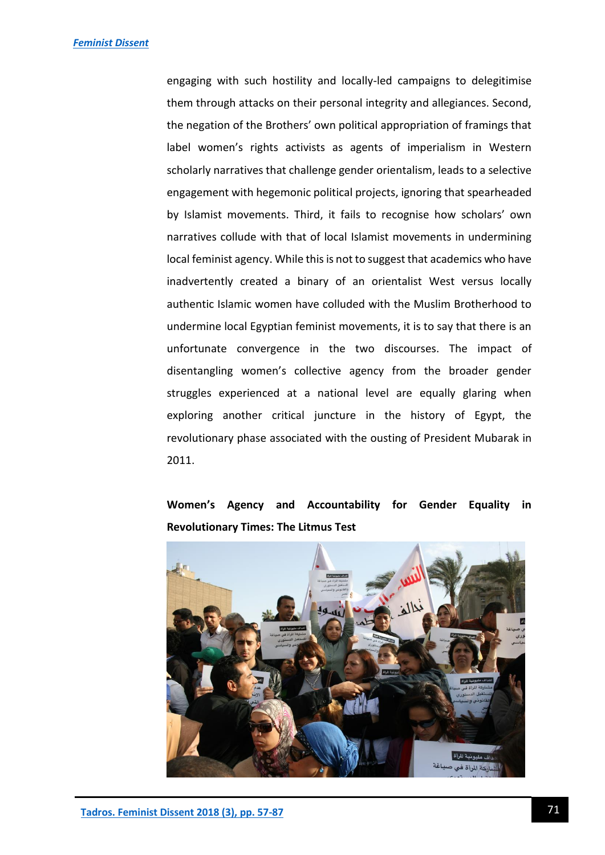engaging with such hostility and locally-led campaigns to delegitimise them through attacks on their personal integrity and allegiances. Second, the negation of the Brothers' own political appropriation of framings that label women's rights activists as agents of imperialism in Western scholarly narratives that challenge gender orientalism, leads to a selective engagement with hegemonic political projects, ignoring that spearheaded by Islamist movements. Third, it fails to recognise how scholars' own narratives collude with that of local Islamist movements in undermining local feminist agency. While this is not to suggest that academics who have inadvertently created a binary of an orientalist West versus locally authentic Islamic women have colluded with the Muslim Brotherhood to undermine local Egyptian feminist movements, it is to say that there is an unfortunate convergence in the two discourses. The impact of disentangling women's collective agency from the broader gender struggles experienced at a national level are equally glaring when exploring another critical juncture in the history of Egypt, the revolutionary phase associated with the ousting of President Mubarak in 2011.

**Women's Agency and Accountability for Gender Equality in Revolutionary Times: The Litmus Test**

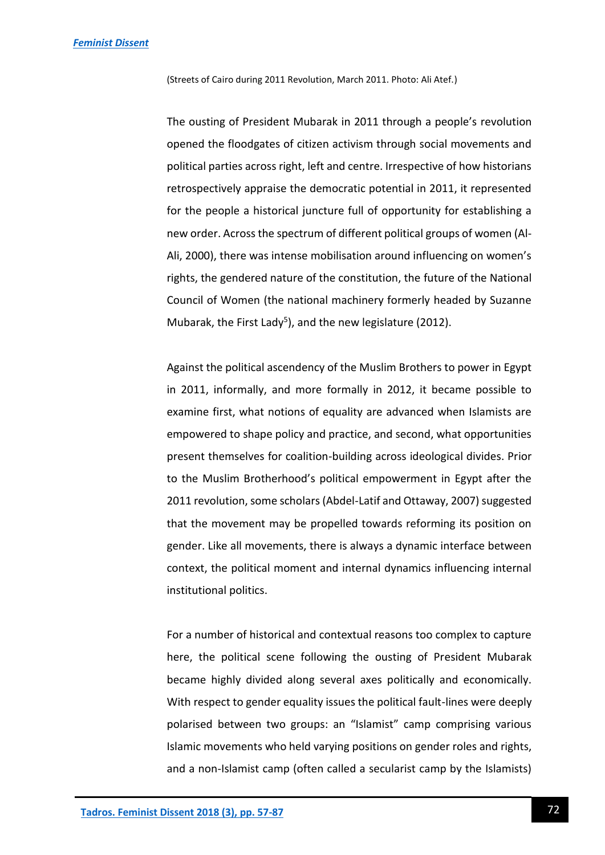(Streets of Cairo during 2011 Revolution, March 2011. Photo: Ali Atef.)

The ousting of President Mubarak in 2011 through a people's revolution opened the floodgates of citizen activism through social movements and political parties across right, left and centre. Irrespective of how historians retrospectively appraise the democratic potential in 2011, it represented for the people a historical juncture full of opportunity for establishing a new order. Across the spectrum of different political groups of women (Al-Ali, 2000), there was intense mobilisation around influencing on women's rights, the gendered nature of the constitution, the future of the National Council of Women (the national machinery formerly headed by Suzanne Mubarak, the First Lady<sup>5</sup>), and the new legislature (2012).

Against the political ascendency of the Muslim Brothers to power in Egypt in 2011, informally, and more formally in 2012, it became possible to examine first, what notions of equality are advanced when Islamists are empowered to shape policy and practice, and second, what opportunities present themselves for coalition-building across ideological divides. Prior to the Muslim Brotherhood's political empowerment in Egypt after the 2011 revolution, some scholars (Abdel-Latif and Ottaway, 2007) suggested that the movement may be propelled towards reforming its position on gender. Like all movements, there is always a dynamic interface between context, the political moment and internal dynamics influencing internal institutional politics.

For a number of historical and contextual reasons too complex to capture here, the political scene following the ousting of President Mubarak became highly divided along several axes politically and economically. With respect to gender equality issues the political fault-lines were deeply polarised between two groups: an "Islamist" camp comprising various Islamic movements who held varying positions on gender roles and rights, and a non-Islamist camp (often called a secularist camp by the Islamists)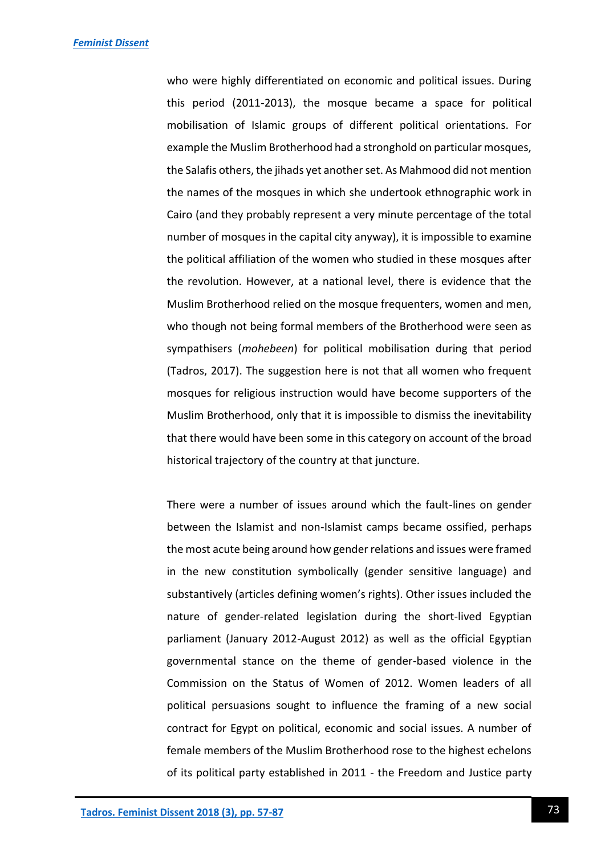who were highly differentiated on economic and political issues. During this period (2011-2013), the mosque became a space for political mobilisation of Islamic groups of different political orientations. For example the Muslim Brotherhood had a stronghold on particular mosques, the Salafis others, the jihads yet another set. As Mahmood did not mention the names of the mosques in which she undertook ethnographic work in Cairo (and they probably represent a very minute percentage of the total number of mosques in the capital city anyway), it is impossible to examine the political affiliation of the women who studied in these mosques after the revolution. However, at a national level, there is evidence that the Muslim Brotherhood relied on the mosque frequenters, women and men, who though not being formal members of the Brotherhood were seen as sympathisers (*mohebeen*) for political mobilisation during that period (Tadros, 2017). The suggestion here is not that all women who frequent mosques for religious instruction would have become supporters of the Muslim Brotherhood, only that it is impossible to dismiss the inevitability that there would have been some in this category on account of the broad historical trajectory of the country at that juncture.

There were a number of issues around which the fault-lines on gender between the Islamist and non-Islamist camps became ossified, perhaps the most acute being around how gender relations and issues were framed in the new constitution symbolically (gender sensitive language) and substantively (articles defining women's rights). Other issues included the nature of gender-related legislation during the short-lived Egyptian parliament (January 2012-August 2012) as well as the official Egyptian governmental stance on the theme of gender-based violence in the Commission on the Status of Women of 2012. Women leaders of all political persuasions sought to influence the framing of a new social contract for Egypt on political, economic and social issues. A number of female members of the Muslim Brotherhood rose to the highest echelons of its political party established in 2011 - the Freedom and Justice party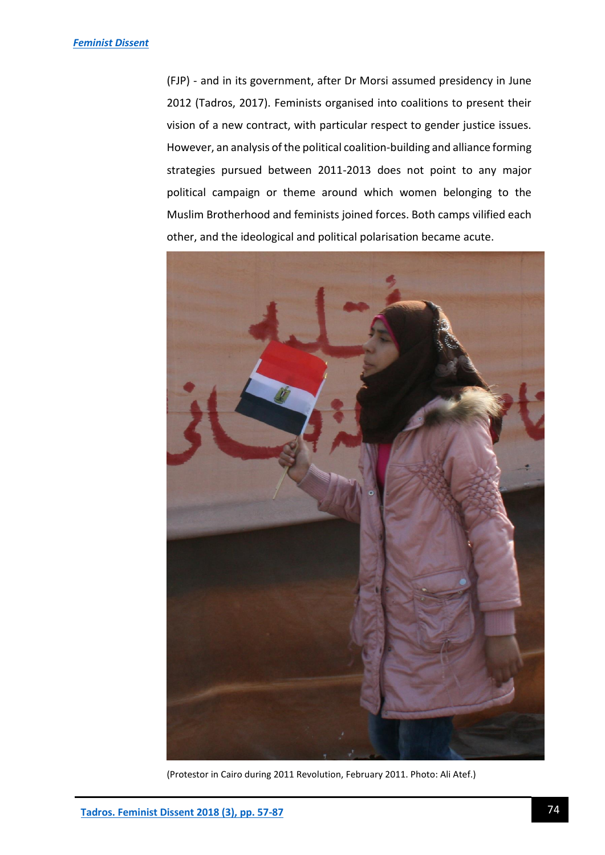(FJP) - and in its government, after Dr Morsi assumed presidency in June 2012 (Tadros, 2017). Feminists organised into coalitions to present their vision of a new contract, with particular respect to gender justice issues. However, an analysis of the political coalition-building and alliance forming strategies pursued between 2011-2013 does not point to any major political campaign or theme around which women belonging to the Muslim Brotherhood and feminists joined forces. Both camps vilified each other, and the ideological and political polarisation became acute.



(Protestor in Cairo during 2011 Revolution, February 2011. Photo: Ali Atef.)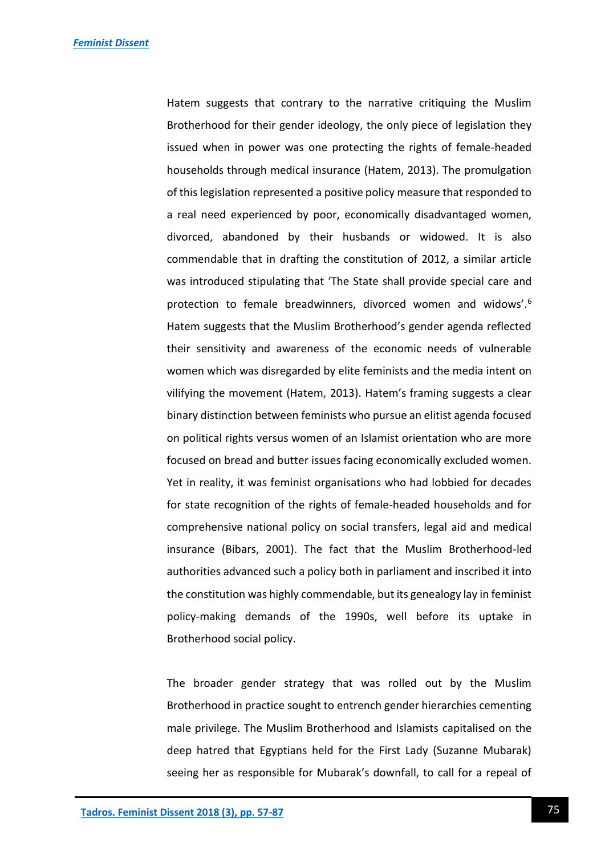Hatem suggests that contrary to the narrative critiquing the Muslim Brotherhood for their gender ideology, the only piece of legislation they issued when in power was one protecting the rights of female-headed households through medical insurance (Hatem, 2013). The promulgation of this legislation represented a positive policy measure that responded to a real need experienced by poor, economically disadvantaged women, divorced, abandoned by their husbands or widowed. It is also commendable that in drafting the constitution of 2012, a similar article was introduced stipulating that 'The State shall provide special care and protection to female breadwinners, divorced women and widows'.<sup>6</sup> Hatem suggests that the Muslim Brotherhood's gender agenda reflected their sensitivity and awareness of the economic needs of vulnerable women which was disregarded by elite feminists and the media intent on vilifying the movement (Hatem, 2013). Hatem's framing suggests a clear binary distinction between feminists who pursue an elitist agenda focused on political rights versus women of an Islamist orientation who are more focused on bread and butter issues facing economically excluded women. Yet in reality, it was feminist organisations who had lobbied for decades for state recognition of the rights of female-headed households and for comprehensive national policy on social transfers, legal aid and medical insurance (Bibars, 2001). The fact that the Muslim Brotherhood-led authorities advanced such a policy both in parliament and inscribed it into the constitution was highly commendable, but its genealogy lay in feminist policy-making demands of the 1990s, well before its uptake in Brotherhood social policy.

The broader gender strategy that was rolled out by the Muslim Brotherhood in practice sought to entrench gender hierarchies cementing male privilege. The Muslim Brotherhood and Islamists capitalised on the deep hatred that Egyptians held for the First Lady (Suzanne Mubarak) seeing her as responsible for Mubarak's downfall, to call for a repeal of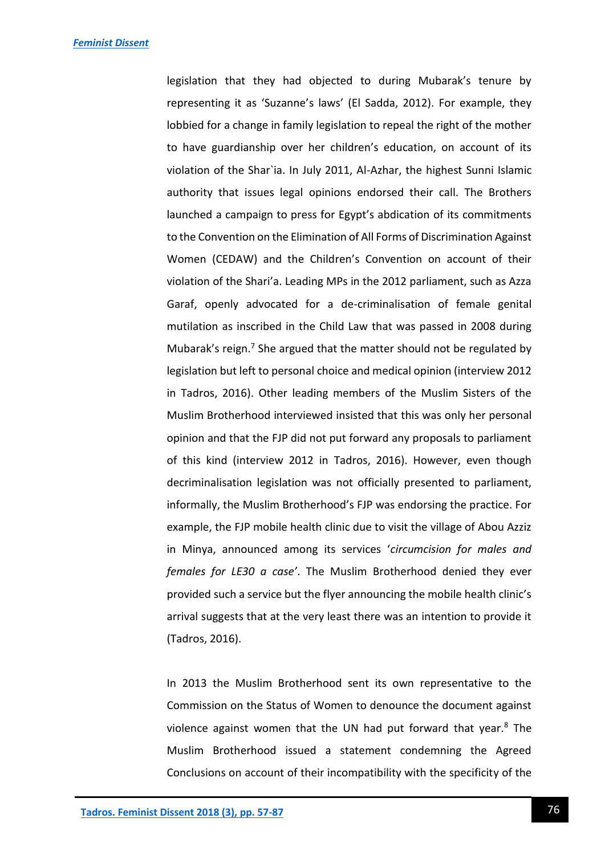legislation that they had objected to during Mubarak's tenure by representing it as 'Suzanne's laws' (El Sadda, 2012). For example, they lobbied for a change in family legislation to repeal the right of the mother to have guardianship over her children's education, on account of its violation of the Shar`ia. In July 2011, Al-Azhar, the highest Sunni Islamic authority that issues legal opinions endorsed their call. The Brothers launched a campaign to press for Egypt's abdication of its commitments to the Convention on the Elimination of All Forms of Discrimination Against Women (CEDAW) and the Children's Convention on account of their violation of the Shari'a. Leading MPs in the 2012 parliament, such as Azza Garaf, openly advocated for a de-criminalisation of female genital mutilation as inscribed in the Child Law that was passed in 2008 during Mubarak's reign.<sup>7</sup> She argued that the matter should not be regulated by legislation but left to personal choice and medical opinion (interview 2012 in Tadros, 2016). Other leading members of the Muslim Sisters of the Muslim Brotherhood interviewed insisted that this was only her personal opinion and that the FJP did not put forward any proposals to parliament of this kind (interview 2012 in Tadros, 2016). However, even though decriminalisation legislation was not officially presented to parliament, informally, the Muslim Brotherhood's FJP was endorsing the practice. For example, the FJP mobile health clinic due to visit the village of Abou Azziz in Minya, announced among its services '*circumcision for males and females for LE30 a case'*. The Muslim Brotherhood denied they ever provided such a service but the flyer announcing the mobile health clinic's arrival suggests that at the very least there was an intention to provide it (Tadros, 2016).

In 2013 the Muslim Brotherhood sent its own representative to the Commission on the Status of Women to denounce the document against violence against women that the UN had put forward that year. $8$  The Muslim Brotherhood issued a statement condemning the Agreed Conclusions on account of their incompatibility with the specificity of the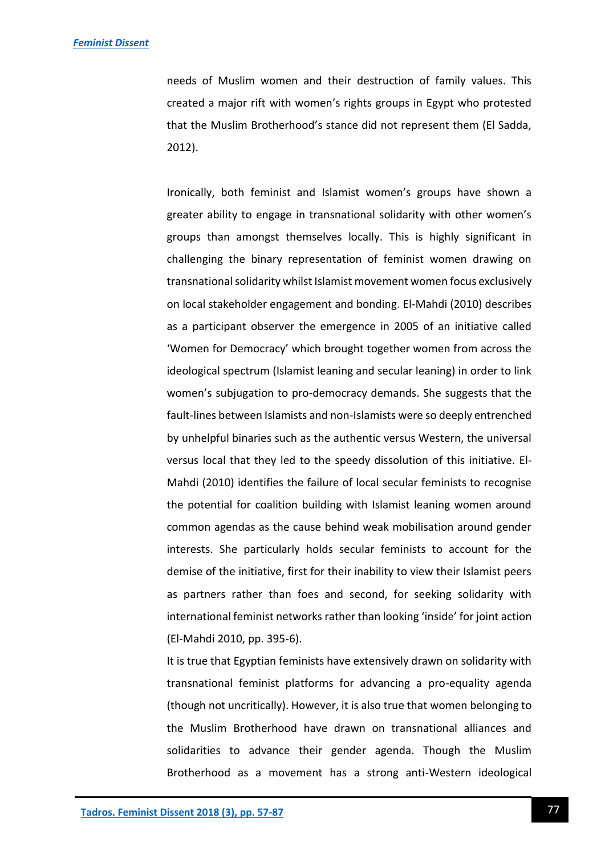needs of Muslim women and their destruction of family values. This created a major rift with women's rights groups in Egypt who protested that the Muslim Brotherhood's stance did not represent them (El Sadda, 2012).

Ironically, both feminist and Islamist women's groups have shown a greater ability to engage in transnational solidarity with other women's groups than amongst themselves locally. This is highly significant in challenging the binary representation of feminist women drawing on transnational solidarity whilst Islamist movement women focus exclusively on local stakeholder engagement and bonding. El-Mahdi (2010) describes as a participant observer the emergence in 2005 of an initiative called 'Women for Democracy' which brought together women from across the ideological spectrum (Islamist leaning and secular leaning) in order to link women's subjugation to pro-democracy demands. She suggests that the fault-lines between Islamists and non-Islamists were so deeply entrenched by unhelpful binaries such as the authentic versus Western, the universal versus local that they led to the speedy dissolution of this initiative. El-Mahdi (2010) identifies the failure of local secular feminists to recognise the potential for coalition building with Islamist leaning women around common agendas as the cause behind weak mobilisation around gender interests. She particularly holds secular feminists to account for the demise of the initiative, first for their inability to view their Islamist peers as partners rather than foes and second, for seeking solidarity with international feminist networks rather than looking 'inside' for joint action (El-Mahdi 2010, pp. 395-6).

It is true that Egyptian feminists have extensively drawn on solidarity with transnational feminist platforms for advancing a pro-equality agenda (though not uncritically). However, it is also true that women belonging to the Muslim Brotherhood have drawn on transnational alliances and solidarities to advance their gender agenda. Though the Muslim Brotherhood as a movement has a strong anti-Western ideological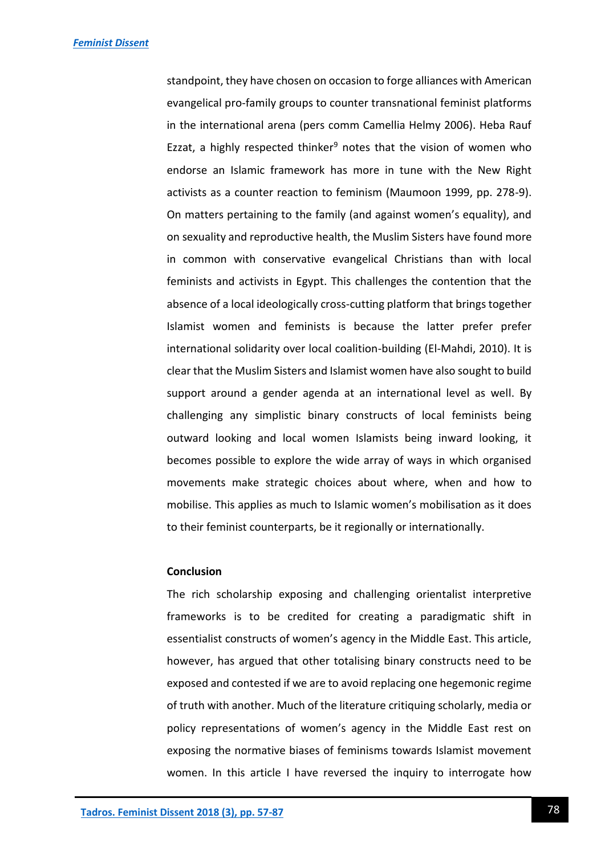standpoint, they have chosen on occasion to forge alliances with American evangelical pro-family groups to counter transnational feminist platforms in the international arena (pers comm Camellia Helmy 2006). Heba Rauf Ezzat, a highly respected thinker<sup>9</sup> notes that the vision of women who endorse an Islamic framework has more in tune with the New Right activists as a counter reaction to feminism (Maumoon 1999, pp. 278-9). On matters pertaining to the family (and against women's equality), and on sexuality and reproductive health, the Muslim Sisters have found more in common with conservative evangelical Christians than with local feminists and activists in Egypt. This challenges the contention that the absence of a local ideologically cross-cutting platform that brings together Islamist women and feminists is because the latter prefer prefer international solidarity over local coalition-building (El-Mahdi, 2010). It is clear that the Muslim Sisters and Islamist women have also sought to build support around a gender agenda at an international level as well. By challenging any simplistic binary constructs of local feminists being outward looking and local women Islamists being inward looking, it becomes possible to explore the wide array of ways in which organised movements make strategic choices about where, when and how to mobilise. This applies as much to Islamic women's mobilisation as it does to their feminist counterparts, be it regionally or internationally.

#### **Conclusion**

The rich scholarship exposing and challenging orientalist interpretive frameworks is to be credited for creating a paradigmatic shift in essentialist constructs of women's agency in the Middle East. This article, however, has argued that other totalising binary constructs need to be exposed and contested if we are to avoid replacing one hegemonic regime of truth with another. Much of the literature critiquing scholarly, media or policy representations of women's agency in the Middle East rest on exposing the normative biases of feminisms towards Islamist movement women. In this article I have reversed the inquiry to interrogate how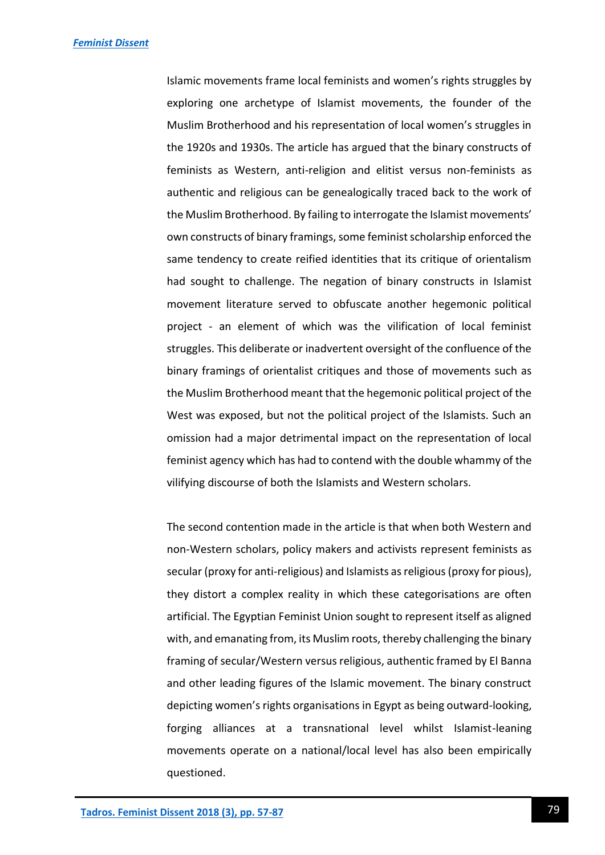Islamic movements frame local feminists and women's rights struggles by exploring one archetype of Islamist movements, the founder of the Muslim Brotherhood and his representation of local women's struggles in the 1920s and 1930s. The article has argued that the binary constructs of feminists as Western, anti-religion and elitist versus non-feminists as authentic and religious can be genealogically traced back to the work of the Muslim Brotherhood. By failing to interrogate the Islamist movements' own constructs of binary framings, some feminist scholarship enforced the same tendency to create reified identities that its critique of orientalism had sought to challenge. The negation of binary constructs in Islamist movement literature served to obfuscate another hegemonic political project - an element of which was the vilification of local feminist struggles. This deliberate or inadvertent oversight of the confluence of the binary framings of orientalist critiques and those of movements such as the Muslim Brotherhood meant that the hegemonic political project of the West was exposed, but not the political project of the Islamists. Such an omission had a major detrimental impact on the representation of local feminist agency which has had to contend with the double whammy of the vilifying discourse of both the Islamists and Western scholars.

The second contention made in the article is that when both Western and non-Western scholars, policy makers and activists represent feminists as secular (proxy for anti-religious) and Islamists as religious (proxy for pious), they distort a complex reality in which these categorisations are often artificial. The Egyptian Feminist Union sought to represent itself as aligned with, and emanating from, its Muslim roots, thereby challenging the binary framing of secular/Western versus religious, authentic framed by El Banna and other leading figures of the Islamic movement. The binary construct depicting women's rights organisations in Egypt as being outward-looking, forging alliances at a transnational level whilst Islamist-leaning movements operate on a national/local level has also been empirically questioned.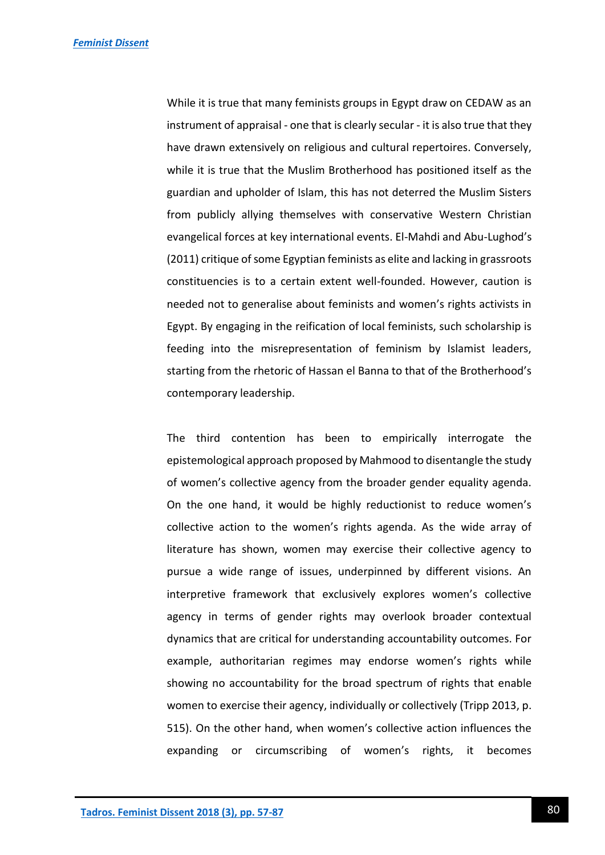While it is true that many feminists groups in Egypt draw on CEDAW as an instrument of appraisal - one that is clearly secular - it is also true that they have drawn extensively on religious and cultural repertoires. Conversely, while it is true that the Muslim Brotherhood has positioned itself as the guardian and upholder of Islam, this has not deterred the Muslim Sisters from publicly allying themselves with conservative Western Christian evangelical forces at key international events. El-Mahdi and Abu-Lughod's (2011) critique of some Egyptian feminists as elite and lacking in grassroots constituencies is to a certain extent well-founded. However, caution is needed not to generalise about feminists and women's rights activists in Egypt. By engaging in the reification of local feminists, such scholarship is feeding into the misrepresentation of feminism by Islamist leaders, starting from the rhetoric of Hassan el Banna to that of the Brotherhood's contemporary leadership.

The third contention has been to empirically interrogate the epistemological approach proposed by Mahmood to disentangle the study of women's collective agency from the broader gender equality agenda. On the one hand, it would be highly reductionist to reduce women's collective action to the women's rights agenda. As the wide array of literature has shown, women may exercise their collective agency to pursue a wide range of issues, underpinned by different visions. An interpretive framework that exclusively explores women's collective agency in terms of gender rights may overlook broader contextual dynamics that are critical for understanding accountability outcomes. For example, authoritarian regimes may endorse women's rights while showing no accountability for the broad spectrum of rights that enable women to exercise their agency, individually or collectively (Tripp 2013, p. 515). On the other hand, when women's collective action influences the expanding or circumscribing of women's rights, it becomes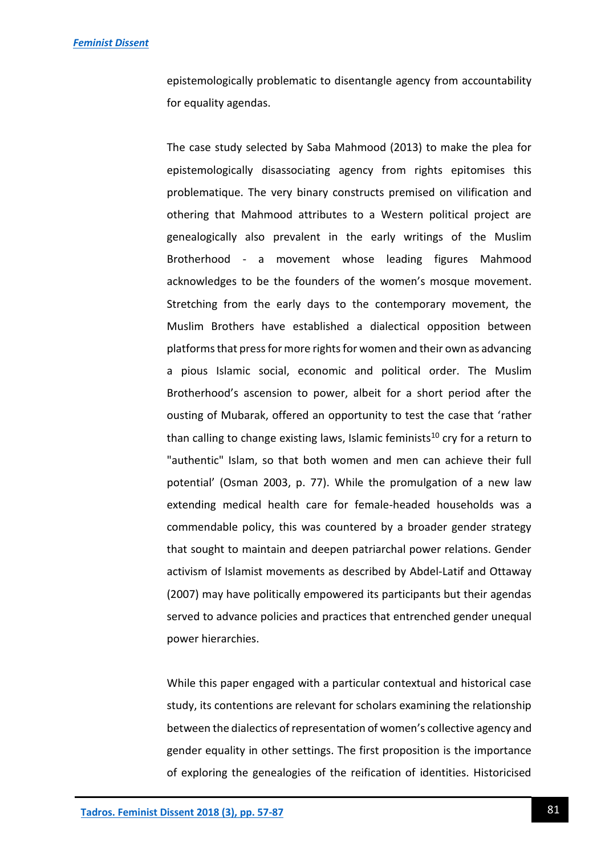epistemologically problematic to disentangle agency from accountability for equality agendas.

The case study selected by Saba Mahmood (2013) to make the plea for epistemologically disassociating agency from rights epitomises this problematique. The very binary constructs premised on vilification and othering that Mahmood attributes to a Western political project are genealogically also prevalent in the early writings of the Muslim Brotherhood - a movement whose leading figures Mahmood acknowledges to be the founders of the women's mosque movement. Stretching from the early days to the contemporary movement, the Muslim Brothers have established a dialectical opposition between platforms that press for more rights for women and their own as advancing a pious Islamic social, economic and political order. The Muslim Brotherhood's ascension to power, albeit for a short period after the ousting of Mubarak, offered an opportunity to test the case that 'rather than calling to change existing laws, Islamic feminists<sup>10</sup> cry for a return to "authentic" Islam, so that both women and men can achieve their full potential' (Osman 2003, p. 77). While the promulgation of a new law extending medical health care for female-headed households was a commendable policy, this was countered by a broader gender strategy that sought to maintain and deepen patriarchal power relations. Gender activism of Islamist movements as described by Abdel-Latif and Ottaway (2007) may have politically empowered its participants but their agendas served to advance policies and practices that entrenched gender unequal power hierarchies.

While this paper engaged with a particular contextual and historical case study, its contentions are relevant for scholars examining the relationship between the dialectics of representation of women's collective agency and gender equality in other settings. The first proposition is the importance of exploring the genealogies of the reification of identities. Historicised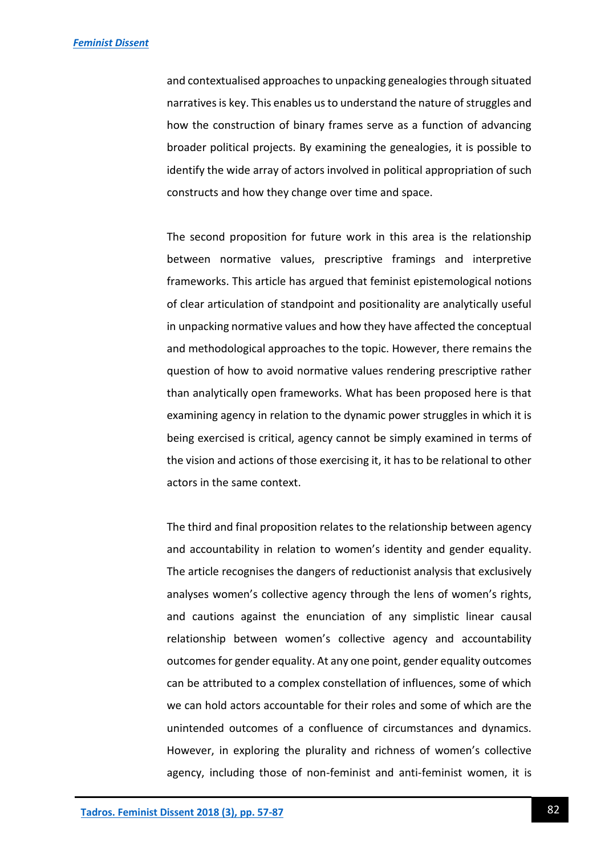and contextualised approaches to unpacking genealogies through situated narratives is key. This enables us to understand the nature of struggles and how the construction of binary frames serve as a function of advancing broader political projects. By examining the genealogies, it is possible to identify the wide array of actors involved in political appropriation of such constructs and how they change over time and space.

The second proposition for future work in this area is the relationship between normative values, prescriptive framings and interpretive frameworks. This article has argued that feminist epistemological notions of clear articulation of standpoint and positionality are analytically useful in unpacking normative values and how they have affected the conceptual and methodological approaches to the topic. However, there remains the question of how to avoid normative values rendering prescriptive rather than analytically open frameworks. What has been proposed here is that examining agency in relation to the dynamic power struggles in which it is being exercised is critical, agency cannot be simply examined in terms of the vision and actions of those exercising it, it has to be relational to other actors in the same context.

The third and final proposition relates to the relationship between agency and accountability in relation to women's identity and gender equality. The article recognises the dangers of reductionist analysis that exclusively analyses women's collective agency through the lens of women's rights, and cautions against the enunciation of any simplistic linear causal relationship between women's collective agency and accountability outcomes for gender equality. At any one point, gender equality outcomes can be attributed to a complex constellation of influences, some of which we can hold actors accountable for their roles and some of which are the unintended outcomes of a confluence of circumstances and dynamics. However, in exploring the plurality and richness of women's collective agency, including those of non-feminist and anti-feminist women, it is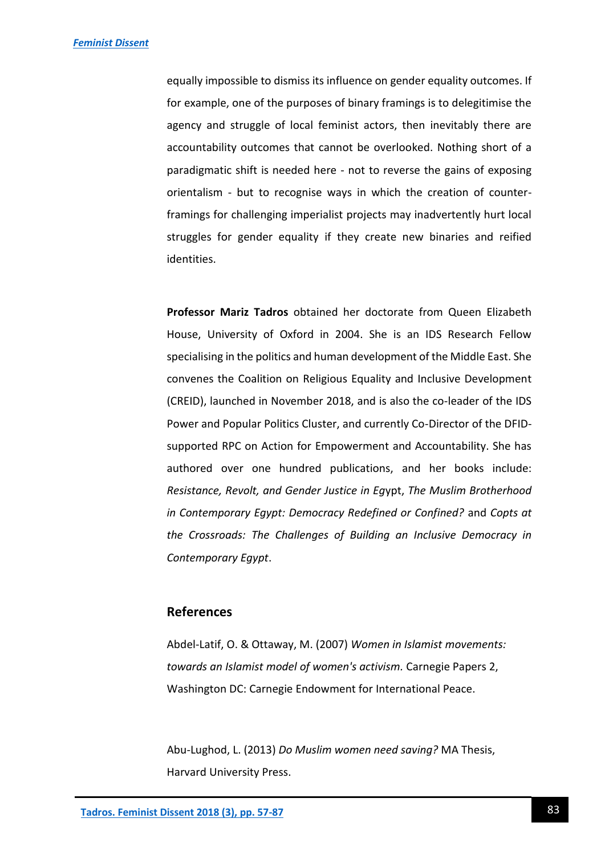equally impossible to dismiss its influence on gender equality outcomes. If for example, one of the purposes of binary framings is to delegitimise the agency and struggle of local feminist actors, then inevitably there are accountability outcomes that cannot be overlooked. Nothing short of a paradigmatic shift is needed here - not to reverse the gains of exposing orientalism - but to recognise ways in which the creation of counterframings for challenging imperialist projects may inadvertently hurt local struggles for gender equality if they create new binaries and reified identities.

**Professor Mariz Tadros** obtained her doctorate from Queen Elizabeth House, University of Oxford in 2004. She is an IDS Research Fellow specialising in the politics and human development of the Middle East. She convenes the Coalition on Religious Equality and Inclusive Development (CREID), launched in November 2018, and is also the co-leader of the IDS Power and Popular Politics Cluster, and currently Co-Director of the DFIDsupported RPC on Action for Empowerment and Accountability. She has authored over one hundred publications, and her books include: *Resistance, Revolt, and Gender Justice in Eg*ypt, *The Muslim Brotherhood in Contemporary Egypt: Democracy Redefined or Confined?* and *Copts at the Crossroads: The Challenges of Building an Inclusive Democracy in Contemporary Egypt*.

### **References**

Abdel-Latif, O. & Ottaway, M. (2007) *Women in Islamist movements: towards an Islamist model of women's activism.* Carnegie Papers 2, Washington DC: Carnegie Endowment for International Peace.

Abu-Lughod, L. (2013) *Do Muslim women need saving?* MA Thesis, Harvard University Press.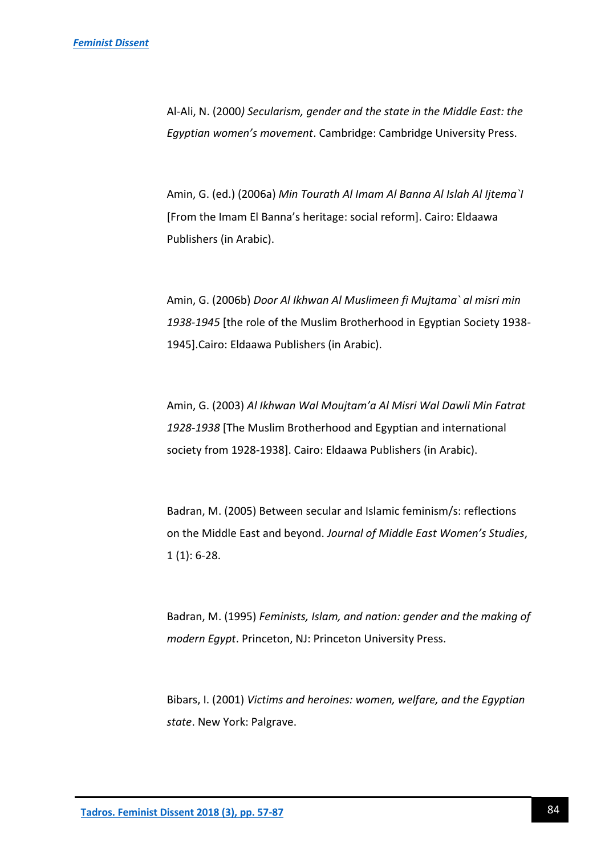Al-Ali, N. (2000*) Secularism, gender and the state in the Middle East: the Egyptian women's movement*. Cambridge: Cambridge University Press.

Amin, G. (ed.) (2006a) *Min Tourath Al Imam Al Banna Al Islah Al Ijtema`I* [From the Imam El Banna's heritage: social reform]. Cairo: Eldaawa Publishers (in Arabic).

Amin, G. (2006b) *Door Al Ikhwan Al Muslimeen fi Mujtama` al misri min 1938-1945* [the role of the Muslim Brotherhood in Egyptian Society 1938- 1945].Cairo: Eldaawa Publishers (in Arabic).

Amin, G. (2003) *Al Ikhwan Wal Moujtam'a Al Misri Wal Dawli Min Fatrat 1928-1938* [The Muslim Brotherhood and Egyptian and international society from 1928-1938]. Cairo: Eldaawa Publishers (in Arabic).

Badran, M. (2005) Between secular and Islamic feminism/s: reflections on the Middle East and beyond. *Journal of Middle East Women's Studies*,  $1(1): 6-28.$ 

Badran, M. (1995) *Feminists, Islam, and nation: gender and the making of modern Egypt*. Princeton, NJ: Princeton University Press.

Bibars, I. (2001) *Victims and heroines: women, welfare, and the Egyptian state*. New York: Palgrave.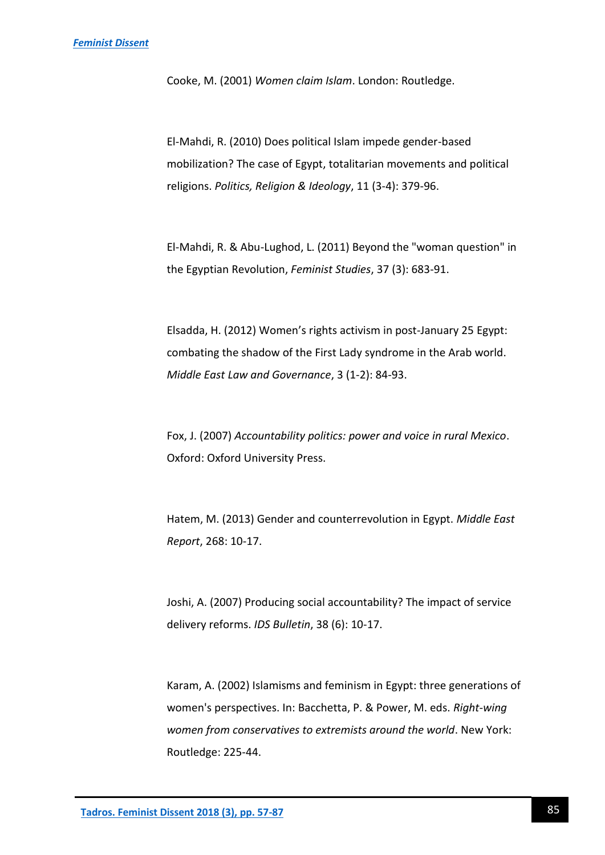Cooke, M. (2001) *Women claim Islam*. London: Routledge.

El-Mahdi, R. (2010) Does political Islam impede gender-based mobilization? The case of Egypt, totalitarian movements and political religions. *Politics, Religion & Ideology*, 11 (3-4): 379-96.

El-Mahdi, R. & Abu-Lughod, L. (2011) Beyond the "woman question" in the Egyptian Revolution, *Feminist Studies*, 37 (3): 683-91.

Elsadda, H. (2012) Women's rights activism in post-January 25 Egypt: combating the shadow of the First Lady syndrome in the Arab world. *Middle East Law and Governance*, 3 (1-2): 84-93.

Fox, J. (2007) *Accountability politics: power and voice in rural Mexico*. Oxford: Oxford University Press.

Hatem, M. (2013) Gender and counterrevolution in Egypt. *Middle East Report*, 268: 10-17.

Joshi, A. (2007) Producing social accountability? The impact of service delivery reforms. *IDS Bulletin*, 38 (6): 10-17.

Karam, A. (2002) Islamisms and feminism in Egypt: three generations of women's perspectives. In: Bacchetta, P. & Power, M. eds. *Right-wing women from conservatives to extremists around the world*. New York: Routledge: 225-44.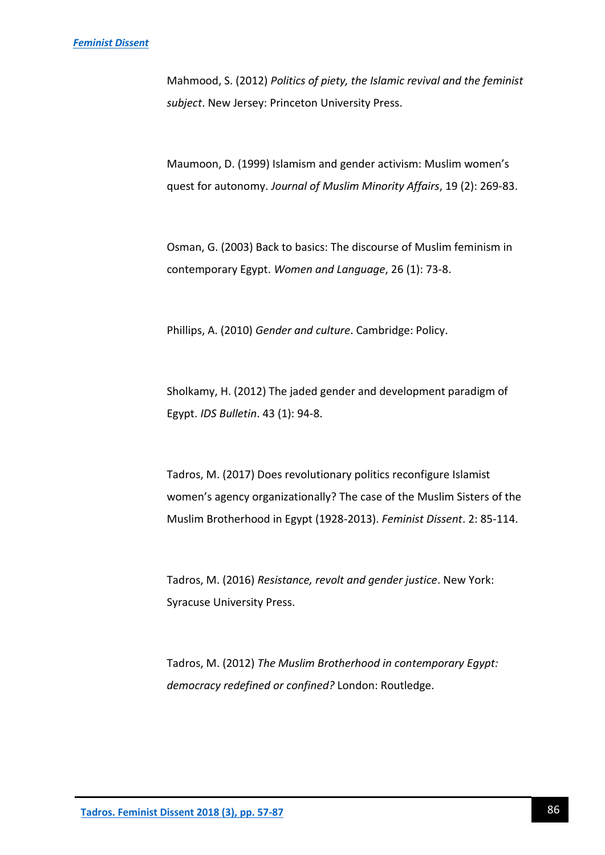Mahmood, S. (2012) *Politics of piety, the Islamic revival and the feminist subject*. New Jersey: Princeton University Press.

Maumoon, D. (1999) Islamism and gender activism: Muslim women's quest for autonomy. *Journal of Muslim Minority Affairs*, 19 (2): 269-83.

Osman, G. (2003) Back to basics: The discourse of Muslim feminism in contemporary Egypt. *Women and Language*, 26 (1): 73-8.

Phillips, A. (2010) *Gender and culture*. Cambridge: Policy.

Sholkamy, H. (2012) The jaded gender and development paradigm of Egypt. *IDS Bulletin*. 43 (1): 94-8.

Tadros, M. (2017) Does revolutionary politics reconfigure Islamist women's agency organizationally? The case of the Muslim Sisters of the Muslim Brotherhood in Egypt (1928-2013). *Feminist Dissent*. 2: 85-114.

Tadros, M. (2016) *Resistance, revolt and gender justice*. New York: Syracuse University Press.

Tadros, M. (2012) *The Muslim Brotherhood in contemporary Egypt: democracy redefined or confined?* London: Routledge.